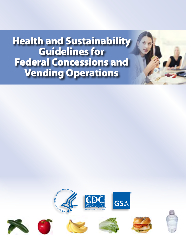Health and Sustainability Guidelines for Federal Concessions and Vending Operations













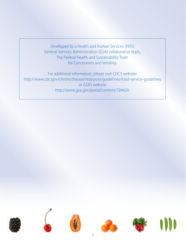Developed by a Health and Human Services (HHS) General Services Administration (GSA) collaborative team, The Federal Health and Sustainability Team for Concessions and Vending.

For additional information, please visit CDC's website: [http://www.cdc.gov/chronicdisease/resources/guidelines/food-](http://www.cdc.gov/chronicdisease/resources/guidelines/food-service-guidelines)service-guidelines or GSA's website <http://www.gsa.gov/portal/content/104429>.











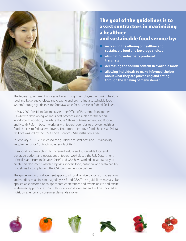

### The goal of the guidelines is to assist contractors in maximizing a healthier and sustainable food service by:

- **increasing the offering of healthier and sustainable food and beverage choices**
- **eliminating industrially produced trans fats**
- **decreasing the sodium content in available foods**
- **allowing individuals to make informed choices about what they are purchasing and eating through the labeling of menu items.1**

The federal government is invested in assisting its employees in making healthy food and beverage choices, and creating and promoting a sustainable food system<sup>2</sup> through guidelines for food available for purchase at federal facilities.

In May 2009, President Obama tasked the Office of Personnel Management (OPM) with developing wellness best practices and a plan for the federal workforce. In addition, the White House Offices of Management and Budget and Health Reform began working with federal agencies to provide healthier food choices to federal employees. This effort to improve food choices at federal facilities was led by the U.S. General Services Administration (GSA).

In February 2010, GSA released the guidance for Wellness and Sustainability Requirements for Contracts at federal facilities.<sup>3</sup>

In support of GSA's actions to increase healthy and sustainable food and beverage options and operations at federal workplaces, the U.S. Department of Health and Human Services (HHS) and GSA have worked collaboratively to create this document, which proposes specific food, nutrition, and sustainability guidelines to complement the GSA procurement guidelines.

The guidelines in this document apply to all food service concession operations and vending machines managed by HHS and GSA. These guidelines may also be applied at sponsored or co-sponsored conferences and events onsite and offsite, as deemed appropriate. Finally, this is a living document and will be updated as nutrition science and consumer demands evolve.











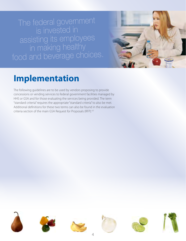in making healthy



## **Implementation**

The following guidelines are to be used by vendors proposing to provide concessions or vending services to federal government facilities managed by HHS or GSA and for those evaluating the services being provided. The term "standard criteria" requires the appropriate "standard criteria" to also be met. Additional definitions for these two terms can also be found in the evaluation criteria section of the main GSA Request for Proposals (RFP).<sup>4,5</sup>

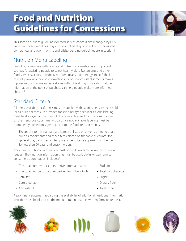# Food and Nutrition Guidelines for Concessions

This section outlines guidelines for food service concessions managed by HHS and GSA. These guidelines may also be applied at sponsored or co-sponsored conferences and events, onsite and offsite. Vending guidelines are in section II.

### Nutrition Menu Labeling

Providing consumers with calorie and nutrient information is an important strategy for assisting people to select healthy diets. Restaurants and other food service facilities provide 37% of Americans' daily energy intake.<sup>6</sup> The lack of readily available calorie information in food service establishments makes it possible to consume excess calories without realizing it. Providing calorie information at the point of purchase can help people make more informed choices.7

### Standard Criteria

All items available in cafeterias must be labeled with calories per serving as sold (or calories per measure provided for salad bar-type service). Calorie labeling must be displayed at the point of choice in a clear and conspicuous manner on the menu board, or if menu boards are not available, labeling must be prominently posted on signs adjacent to the food items or menus.

• Exceptions to this standard are items not listed on a menu or menu board such as condiments and other items placed on the table or counter for general use; daily specials; temporary menu items appearing on the menu for less than 60 days; and custom orders.

Additional nutritional information must be made available in written form, on request. The nutrition information that must be available in written form to consumers upon request includes:8

- The total number of calories derived from any source
- The total number of calories derived from the total fat
- • Total fat
- • Saturated fat
- Cholesterol
- • Sodium
- Total carbohydrate
- • Sugars
- Dietary fiber
- Total protein

A prominent statement regarding the availability of additional nutritional information available must be placed on the menu or menu board in written form, on request.











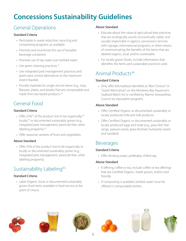## **Concessions Sustainability Guidelines**

### General Operations

#### Standard Criteria

- Participate in waste reduction, recycling and composting programs, as available.
- Promote and incentivize the use of reusable beverage containers.
- Promote use of tap water over bottled water.
- $\cdot$  Use green cleaning practices. $37$
- Use integrated pest management practices and green pest control alternatives to the maximum extent feasible.
- Provide materials for single-service items (e.g., trays, flatware, plates, and bowls) that are compostable and made from bio-based products.<sup>38</sup>

### General Food

#### Standard Criteria

- Offer 25%<sup>39</sup> of the product line to be organically,<sup>40</sup> locally,<sup>41</sup> or documented sustainably grown (e.g., integrated pest management, pesticide free, other labeling programs).<sup>42</sup>
- Offer seasonal varieties of fruits and vegetables.

#### Above Standard

• Offer 35% of the product line to be organically or locally or documented sustainably grown (e.g., integrated pest management, pesticide free, other labeling programs).

### Sustainability Labeling<sup>43</sup>

#### Standard Criteria

• Label Organic, local, or documented sustainably grown food items available in food service at the point of choice.

#### Above Standard

- Educate about the value of agricultural best practices that are ecologically sound, economically viable, and socially responsible in agency concessions services with signage, informational programs, or other means of communicating the benefits of the items that are labeled organic, local, and/or sustainable.
- For locally grown foods, include information that identifies the farms and sustainable practices used.

### Animal Products<sup>44</sup>

#### Standard Criteria

• Only offer fish/seafood identified as "Best Choices" or "Good Alternatives" on the Monterey Bay Aquarium's Seafood Watch list or certified by Marine Stewardship Council (or equivalent program).

#### Above Standard

- Offer Certified Organic or documented sustainably or locally produced milk and milk products.
- Offer Certified Organic or documented sustainably or locally produced eggs and meat (e.g., grass fed, freerange, pasture raised, grass finished, humanely raised and handled).

### Beverages

#### Standard Criteria

• Offer drinking water, preferably chilled tap.

#### Above Standard

- If offering coffee or tea, include coffee or tea offerings that are Certified Organic, shade grown, and/or bird friendly.
- If composting is available, bottled water must be offered in compostable bottles.











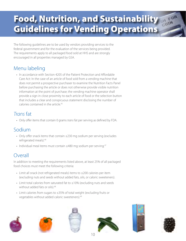# Food, Nutrition, and Sustainability Guidelines for Vending Operations

The following guidelines are to be used by vendors providing services to the federal government and for the evaluation of the services being provided. The requirements apply to all packaged food sold at HHS and are strongly encouraged in all properties managed by GSA.

### Menu labeling

• In accordance with Section 4205 of the Patient Protection and Affordable Care Act: In the case of an article of food sold from a vending machine that does not permit a prospective purchaser to examine the Nutrition Facts Panel before purchasing the article or does not otherwise provide visible nutrition information at the point of purchase; the vending machine operator shall provide a sign in close proximity to each article of food or the selection button that includes a clear and conspicuous statement disclosing the number of calories contained in the article.45

### *Trans* fat

• Only offer items that contain 0 grams *trans* fat per serving as defined by FDA.

### Sodium

- Only offer snack items that contain ≤230 mg sodium per serving (excludes refrigerated meals).46
- Individual meal items must contain  $\leq 480$  mg sodium per serving.<sup>47</sup>

### **Overall**

In addition to meeting the requirements listed above, at least 25% of all packaged food choices must meet the following criteria:

- Limit all snack (not refrigerated meals) items to ≤200 calories per item (excluding nuts and seeds without added fats, oils, or caloric sweeteners).
- Limit total calories from saturated fat to ≤10% (excluding nuts and seeds without added fats or oils).<sup>48</sup>
- • Limit calories from sugars to ≤35% of total weight (excluding fruits or vegetables without added caloric sweeteners).49











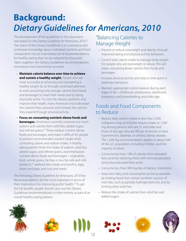## **Background:**  *Dietary Guidelines for Americans, 2010*

The development of the guidelines in this document was based on the *Dietary Guidelines for Americans, 2010*. 53 The intent of the Dietary Guidelines is to summarize and synthesize knowledge about individual nutrients and food components into an interrelated set of recommendations for healthy eating that can be adopted by the public. Taken together, the Dietary Guidelines recommendations encompass two overarching concepts:

- • **Maintain calorie balance over time to achieve and sustain a healthy weight.** People who are most successful at achieving and maintaining a healthy weight do so through continued attention to and consuming only enough calories from foods and beverages to meet their needs and by being physically active. To curb the obesity epidemic and improve their health, many Americans must decrease the calories they consume and increase the calories they expend through physical activity.
- • **Focus on consuming nutrient-dense foods and beverages.** Americans currently consume too much sodium and calories from solid fats, added sugars, and refined grains.<sup>54</sup> These replace nutrient-dense foods and beverages, and make it difficult for people to achieve recommended nutrient intake while controlling calorie and sodium intake. A healthy eating pattern limits the intake of sodium, solid fats, added sugars, and refined grains, and emphasizes nutrient-dense foods and beverages—vegetables, fruits, whole grains, fat-free or low-fat milk and milk products,55 seafood, lean meats and poultry, eggs, beans and peas, and nuts and seeds.

The following *Dietary Guidelines for Americans, 2010* Key Recommendations are the most important in terms of their implications for improving public health.<sup>56</sup> To get the full benefit, people should carry out the Dietary Guidelines recommendations in their entirety as part of an overall healthy eating pattern.

### "Balancing Calories to Manage Weight

- Prevent or reduce overweight and obesity through improved eating and physical activity behaviors.
- Control total calorie intake to manage body weight. For people who are overweight or obese, this will mean consuming fewer calories from foods and beverages.
- Increase physical activity and reduce time spent in sedentary behaviors.
- Maintain appropriate calorie balance during each stage of life—childhood, adolescence, adulthood, pregnancy and breastfeeding, and older age.

### Foods and Food Components to Reduce

- Reduce daily sodium intake to less than 2,300 milligrams (mg) and further reduce intake to 1,500 mg among persons who are 51 and older and those of any age who are African American or have hypertension, diabetes, or chronic kidney disease. The 1,500 mg recommendation applies to about half of the U.S. population, including children, and the majority of adults.
- Consume less than 10% of calories from saturated fatty acids by replacing them with monounsaturated and polyunsaturated fatty acids.
- • Consume less than 300 mg/day of dietary cholesterol.
- • Keep *trans* fatty acid consumption as low as possible by limiting foods that contain synthetic sources of *trans* fats, such as partially hydrogenated oils, and by limiting other solid fats.
- Reduce the intake of calories from solid fats and added sugars.











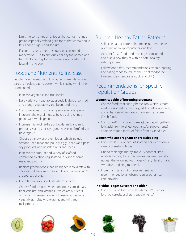- Limit the consumption of foods that contain refined grains, especially refined grain foods that contain solid fats, added sugars, and sodium.
- If alcohol is consumed, it should be consumed in moderation—up to one drink per day for women and two drinks per day for men—and only by adults of legal drinking age.

### Foods and Nutrients to Increase

People should meet the following recommendations as part of a healthy eating pattern while staying within their calorie needs.

- Increase vegetable and fruit intake.
- • Eat a variety of vegetables, especially dark-green, red and orange vegetables, and beans and peas.
- • Consume at least half of all grains as whole grains. Increase whole-grain intake by replacing refined grains with whole grains.
- Increase intake of fat-free or low-fat milk and milk products, such as milk, yogurt, cheese, or fortified soy beverages.<sup>57</sup>
- Choose a variety of protein foods, which include seafood, lean meat and poultry, eggs, beans and peas, soy products, and unsalted nuts and seeds.
- Increase the amount and variety of seafood consumed by choosing seafood in place of some meat and poultry.
- Replace protein foods that are higher in solid fats with choices that are lower in solid fats and calories and/or are sources of oils.
- Use oils to replace solid fats where possible.
- Choose foods that provide more potassium, dietary fiber, calcium, and vitamin D, which are nutrients of concern in American diets. These foods include vegetables, fruits, whole grains, and milk and milk products.

### Building Healthy Eating Patterns

- Select an eating pattern that meets nutrient needs over time at an appropriate calorie level.
- Account for all foods and beverages consumed and assess how they fit within a total healthy eating pattern.
- Follow food safety recommendations when preparing and eating foods to reduce the risk of foodborne illnesses (clean, separate, cook, and chill).

### Recommendations for Specific Population Groups:

#### **Women capable of becoming pregnant**

- Choose foods that supply heme iron, which is more readily absorbed by the body, additional iron sources, and enhancers of iron absorption, such as vitamin C-rich foods.
- Consume 400 micrograms (mcg) per day of synthetic folic acid (from fortified foods and/or supplements) in addition to food forms of folate from a varied diet.

#### **Women who are pregnant or breastfeeding**

- Consume 8 12 ounces of seafood per week from a variety of seafood types.
- Due to their high methyl mercury content, limit white (albacore) tuna to 6 ounces per week and do not eat the following four types of fish; tilefish, shark, swordfish, and king mackerel.
- If pregnant, take an iron supplement, as recommended by an obstetrician or other health care provider.

#### **Individuals ages 50 years and older**

• Consume food fortified with vitamin  $B^{12}$ , such as fortified cereals, or dietary supplements."











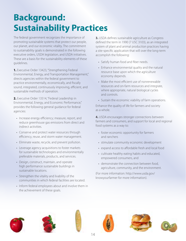# **Background: Sustainability Practices**

The federal government recognizes the importance of promoting sustainable systems that protect our people, our planet, and our economic vitality. The commitment to sustainability goals is demonstrated in the following executive orders, USDA legislation, and USDA initiatives. These are a basis for the sustainability elements of these guidelines.

**1.** Executive Order 13423, "Strengthening Federal Environmental, Energy, and Transportation Management," directs agencies within the federal government to practice environmentally, economically, and fiscally sound, integrated, continuously improving, efficient, and sustainable methods of operation.

**2.** Executive Order 13514, "Federal Leadership in Environmental, Energy, and Economic Performance," provides the following general guidance for federal agencies:

- Increase energy efficiency; measure, report, and reduce greenhouse gas emissions from direct and indirect activities.
- Conserve and protect water resources through efficiency, reuse, and storm water management.
- • Eliminate waste, recycle, and prevent pollution.
- Leverage agency acquisitions to foster markets for sustainable technologies and environmentally preferable materials, products, and services.
- Design, construct, maintain, and operate high performance sustainable buildings in sustainable locations.
- Strengthen the vitality and livability of the communities in which federal facilities are located.
- Inform federal employees about and involve them in the achievement of these goals.

**3.** USDA defines sustainable agriculture as Congress defined the term in 1990 (7 USC 3103), as an integrated system of plant and animal production practices having a site-specific application that will over the long-term accomplish the following:

- Satisfy human food and fiber needs.
- Enhance environmental quality and the natural resource base upon which the agriculture economy depends.
- Make the most efficient use of nonrenewable resources and on-farm resources and integrate, where appropriate, natural biological cycles and controls.
- Sustain the economic viability of farm operations. Enhance the quality of life for farmers and society

as a whole.

**4.** USDA encourages stronger connections between farmers and consumers, and support for local and regional food systems as a way to:

- foster economic opportunity for farmers and ranchers
- stimulate community economic development
- expand access to affordable fresh and local food
- • cultivate healthy eating habits and educated, empowered consumers, and
- demonstrate the connection between food, agriculture, community, and the environment.

(For more information: [http://www.usda.gov/](http://www.usda.gov/knowyourfarmer) [knowyourfarmer](http://www.usda.gov/knowyourfarmer) for more information).













14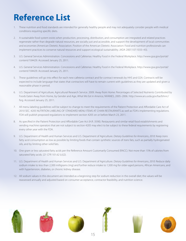# **Reference List**

- 1. These nutrition and food standards are intended for generally healthy people and may not adequately consider people with medical conditions requiring specific diets.
- 2. A sustainable food system exists when production, processing, distribution, and consumption are integrated and related practices regenerate rather than degrade natural resources, are socially just and accessible, and support the development of local communities and economies (American Dietetic Association. Position of the American Dietetic Association: Food and nutrition professionals can implement practices to conserve natural resources and support ecological sustainability. JADA 2007;107:1033–43).
- 3. U.S. General Services Administration. Concessions and Cafeterias: Healthy Food in the Federal Workplace. [http://www.gsa.gov/portal/](http://www.gsa.gov/portal/content/104429) [content/104429.](http://www.gsa.gov/portal/content/104429) Accessed January 25, 2011.
- 4. U.S. General Services Administration. Concessions and Cafeterias: Healthy Food in the Federal Workplace. [http://www.gsa.gov/portal/](http://www.gsa.gov/portal/content/104429) [content/104429.](http://www.gsa.gov/portal/content/104429) Accessed January 25, 2011.
- 5. These guidelines will go into effect for each new cafeteria contract and for contract renewals by HHS and GSA. Contracts will be expected to include language that states that contractors will have to remain current with guidelines as they are updated and given a reasonable phase in period.
- 6. U.S. Department of Agriculture, Agricultural Research Service. 2009. Away from Home: Percentages of Selected Nutrients Contributed by Foods Eaten Away from Home, by Gender and Age, *What We Eat in America*, NHANES, 2005–2006. [http://www.ars.usda.gov/ba/bhnrc/](http://www.ars.usda.gov/ba/bhnrc/fsrg) [fsrg](http://www.ars.usda.gov/ba/bhnrc/fsrg). Accessed January 25, 2011.
- 7. All menu labeling guidelines will be subject to change to meet the requirements of the Patient Protection and Affordable Care Act of 2010 SEC. 4205 NUTRITION LABELING OF STANDARD MENU ITEMS AT CHAIN RESTAURANTS as well as FDA's implementing regulations. FDA will publish proposed regulations to implement section 4205 on or before March 23, 2011.
- 8. As specified in the Patient Protection and Affordable Care Act (H.R. 3590). Restaurants and similar retail food establishments and vending machine operators that are not subject to section 4205 may elect to be subject to these federal requirements by registering every other year with the FDA.
- 9. U.S. Department of Health and Human Services and U.S. Department of Agriculture. *Dietary Guidelines for Americans, 2010*: Keep *trans* fatty acid consumption as low as possible by limiting foods that contain synthetic sources of *trans* fats, such as partially hydrogenated oils, and by limiting other solid fats.
- 10. One gram or less saturated fatty acids per the Reference Amount Customarily Consumed (RACC). Not more than 15% of calories from saturated fatty acids. (21 CFR 101.62 (c)(2).
- 11. U.S. Department of Health and Human Services and U.S. Department of Agriculture. *Dietary Guidelines for Americans, 2010*: Reduce daily sodium intake to less than 2,300 milligrams (mg) and further reduce intake to 1,500 mg for older-aged persons, African Americans, and with hypertension, diabetes, or chronic kidney disease.
- 12. All sodium values in this document are intended as a beginning step for sodium reduction in the overall diet; the values will be reassessed annually and adjusted based on consumer acceptance, contractor feasibility, and nutrition science.











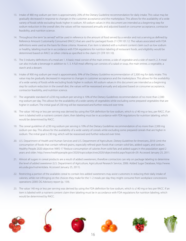- 13. Intake of 480 mg sodium per item is approximately 20% of the Dietary Guideline recommendation for daily intake. This value may be gradually decreased in response to changes in the customer acceptance and the marketplace. This allows for the availability of a wide variety of foods while excluding foods higher in sodium. All sodium values in this document are intended as a beginning step for sodium reduction in the overall diet; the values will be reassessed annually and adjusted based on consumer acceptance, contractor feasibility, and nutrition science.
- 14. Throughout the term "as served" will be used in reference to the amount of food served by a vendor and not a serving as defined by Reference Amount Customarily Consumed (RACC) that are used for packaged foods 21 CFR 101.12. The values associated with FDA definitions were used as the basis for these criteria. However, if an item is labeled with a nutrient content claim such as low sodium or healthy, labeling must be in accordance with FDA regulations for nutrition labeling of restaurant foods, and eligibility would be determined based on RACC or other criteria as specified in the claim (21 CFR 101.10).
- 15. The 3 industry definitions of a meal are 1. A basic meal consist of the main entree, a side of vegetable and a side of starch; 2. A meal can also include a beverage in addition to 1; 3. A full meal offering can consists of a salad or soup, the main entree, a vegetable, a starch and a dessert.
- 16. Intake of 900 mg sodium per meal is approximately 39% of the Dietary Guideline recommendation of 2,300 mg for daily intake. This value may be gradually decreased in response to changes in customer acceptance and the marketplace. This allows for the availability of a wide variety of foods while excluding foods higher in sodium. All sodium values in this document are intended as a beginning step for sodium reduction in the overall diet, the values will be reassessed annually and adjusted based on consumer acceptance, contractor feasibility, and nutrition science.
- 17. The vegetable standard of ≤230 mg sodium per serving is 10% of the Dietary Guidelines recommendation of no more than 2,300 mg sodium per day. This allows for the availability of a wide variety of vegetables while excluding some prepared vegetables that are higher in sodium. The initial goal of 230 mg will be reassessed and further reduced over time.
- 18. The value 140 mg or less per serving was derived by using the FDA definition for low sodium, which is ≤140 mg or less, per RACC. If an item is labeled with a nutrient content claim, then labeling must be in accordance with FDA regulations for nutrition labeling, which would be determined by RACC.
- 19. The cereal guideline of ≤230 mg sodium per serving is 10% of the Dietary Guidelines recommendation of no more than 2,300 mg sodium per day. This allows for the availability of a wide variety of cereals while excluding some prepared cereals that are higher in sodium. The initial goal is 230 mg, which will be reassessed and further reduced over time.
- 20. U.S. Department of Health and Human Services and U.S. Department of Agriculture. *Dietary Guidelines for Americans, 2010*: Limit the consumption of foods that contain refined grains, especially refined grain foods that contain solid fats, added sugars, and sodium. Healthy People 2020 objective: NWS-17 Reduce consumption of calories from solid fats and added sugars in the population aged 2 years and older.<http://www.healthypeople.gov/2020/topicsobjectives2020/objectiveslist.aspx?topicid=29.>Accessed January 25, 2011.
- 21. Almost all sugars in cereal products are a result of added sweeteners; therefore contractors can rely on package labeling to determine the level of added sweetener (U.S. Department of Agriculture, Agricultural Research Service, 2006. Added Sugar Database, [http://www.](http://www.ars.usda.gov/nutrientdata) [ars.usda.gov/nutrientdata](http://www.ars.usda.gov/nutrientdata). Accessed January 25, 2011).
- 22. Restricting a portion of the available cereal to contain less added sweeteners may assist customers in reducing their daily intake of calories, while not infringing on the choices they make for the 1–2 meals per day they might consume from workplace concessions operations (2005 DG Advisory report (p. 159).
- 23. The value 140 mg or less per serving was derived by using the FDA definition for low sodium, which is ≤140 mg or less per RACC. If an item is labeled with a nutrient content claim then labeling must be in accordance with FDA regulations for nutrition labeling, which would be determined by RACC.











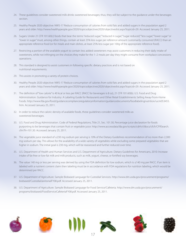- 24. These guidelines consider sweetened milk drinks sweetened beverages; thus, they will be subject to the guidance under the beverages section.
- 25. Healthy People 2020 objective: NWS-17 Reduce consumption of calories from solid fats and added sugars in the population aged 2 years and older.<http://www.healthypeople.gov/2020/topicsobjectives2020/objectiveslist.aspx?topicid=29.>Accessed January 25, 2011.
- 26. Sugars: Under 21 CFR 101.60(c) foods that bear the terms "reduced sugar," "reduced in sugar," "sugar reduced," "less sugar," "lower sugar" or "lower in sugar" must, among other things, contain at least 25% less sugar per reference amount customarily consumed (RACC) than an appropriate reference food (or for meals and main dishes, at least 25% less sugar per 100g of the appropriate reference food).
- 27. Restricting a portion of the available yogurt to contain less added sweeteners may assist customers in reducing their daily intake of sweeteners, while not infringing on the choices they make for the 1–2 meals per day they might consume from workplace concessions operations.
- 28. This standard is designed to assist customers in following specific dietary practices and is not based on nutritional requirements.
- 29. This assists in promoting a variety of protein choices.
- 30. Healthy People 2020 objective: NWS-17 Reduce consumption of calories from solid fats and added sugars in the population aged 2 years and older.<http://www.healthypeople.gov/2020/topicsobjectives2020/objectiveslist.aspx?topicid=29.>Accessed January 25, 2011.
- 31. The definition of "low calorie" is 40 kcal or less per RACC (RACC for beverages is 8 oz), 21 CFR 101.60(b). U.S. Food and Drug Administration. Guidance for Industry: A Labeling Guide for Restaurants and Other Retail Establishments Selling Away-From-Home Foods. [http://www.fda.gov/food/guidancecomplianceregulatoryinformation/guidancedocuments/foodlabelingnutrition/ucm053455.](http://www.fda.gov/food/guidancecomplianceregulatoryinformation/guidancedocuments/foodlabelingnutrition/ucm053455.htm) [htm](http://www.fda.gov/food/guidancecomplianceregulatoryinformation/guidancedocuments/foodlabelingnutrition/ucm053455.htm). Accessed January 25, 2011.
- 32. In order to reduce the caloric density of available foods, these guidelines consider sweetened milks as sweetened beverages.
- 33. U.S. Food and Drug Administration. Code of Federal Regulations, Title 21, Sec. 101.30, Percentage juice declaration for foods purporting to be beverages that contain fruit or vegetable juice. [http://www.accessdata.fda.gov/scripts/cdrh/cfdocs/cfcfr/CFRSearch.](http://www.accessdata.fda.gov/scripts/cdrh/cfdocs/cfcfr/CFRSearch.cfm?fr=101.30.) [cfm?fr=101.30.](http://www.accessdata.fda.gov/scripts/cdrh/cfdocs/cfcfr/CFRSearch.cfm?fr=101.30.) Accessed January 25, 2011.
- 34. The vegetable juice standard of ≤230 mg sodium per serving is 10% of the Dietary Guidelines recommendation of no more than 2,300 mg sodium per day. This allows for the availability of a wide variety of vegetables while excluding some prepared vegetables that are higher in sodium. The initial goal is 230 mg, which will be reassessed and further reduced over time.
- 35. U.S. Department of Health and Human Services and U.S. Department of Agriculture. Dietary Guidelines for Americans, 2010: Increase intake of fat-free or low-fat milk and milk products, such as milk, yogurt, cheese, or fortified soy beverages.
- 36. The value 140 mg or less per serving was derived by using the FDA definition for low sodium, which is ≤140 mg per RACC. If an item is labeled with a nutrient content claim then labeling must be in accordance with FDA regulations for nutrition labeling, which would be determined per RACC.
- 37. U.S. Department of Agriculture. Sample Biobased Language for Custodial Services. [http://www.dm.usda.gov/procurement/programs/](http://www.dm.usda.gov/procurement/programs/biobased/CustodialJanitorialFY08.pdf) [biobased/CustodialJanitorialFY08.pdf.](http://www.dm.usda.gov/procurement/programs/biobased/CustodialJanitorialFY08.pdf) Accessed January 25, 2011.
- 38. U.S. Department of Agriculture. Sample Biobased Language for Food Service/Cafeteria. [http://www.dm.usda.gov/procurement/](http://www.dm.usda.gov/procurement/programs/biobased/FoodServiceCafeteriaFY08.pdf) [programs/biobased/FoodServiceCafeteriaFY08.pdf](http://www.dm.usda.gov/procurement/programs/biobased/FoodServiceCafeteriaFY08.pdf). Accessed January 25, 2011.











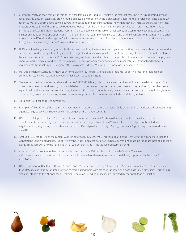- 39. Current research on food service operations at hospitals, colleges, and universities suggests that meeting a 25% purchasing level of local, organic, and/or sustainably grown food is achievable without incurring significant increases to their overall operating budget. A recent survey of California food service buyers from colleges and other institutions shows that they can increase purchases from local growers by up to 38% of their produce budget without confronting significant barriers (Hardesty et al., in press. Institutional Food Distribution Systems: Bringing Students, Farmers and Food Service to the Table). Other survey and case study examples documenting institutional food service operations confirm these findings. For example, Johnson, D. B. and G. W. Stevenson, 1998. Something to Cheer About: National Trends and Prospects for Sustainable Agriculture Products in Food Service Operations of Colleges and Universities. <http://www.cias.wisc.edu/farm-to-fork/something>-to-cheer-about/.
- 40. USDA's national regulatory program explicitly defines organic agriculture as an ecological production system, established "to respond to site-specific conditions by integrating cultural, biological and mechanical practices that foster cycling of resources, promote ecological balance, and conserve biodiversity." USDA requires organic farmers and ranchers to use practices that maintain or improve the physical, chemical, and biological condition of soil, minimize soil erosion, and accommodate an animal's natural nutritional and behavioral requirements. National Organic Program:<http://www.ams.usda.gov/AMSv1.0/nop>. Accessed January 31, 2011.
- 41. U.S. Department of Agriculture. Know Your Farmer, Know Your Food: Rationale and programs supporting local and regional food systems.<http://www.usda.gov/knowyourfarmer>. Accessed January 25, 2011.
- 42. The statutory definition of sustainable agriculture (7 USC 3103) is a guide to the elements to look for in a sustainability program. The government does not endorse any particular labeling or documentation system or program over another, and recognizes that many agricultural producers practice sustainable agriculture without their products being labeled as such. Consideration should be given to documenting sustainable sourcing across the entire supply chain for products that include multiple ingredients.
- 43. Third party verification is recommended.
- 44. Examples of "Best Choices" do not imply government endorsement of these standards. Only endorsements made directly by governing agencies (e.g., USDA, FDA) should be considered government endorsements.
- 45. U.S. House of Representatives. Patient Protection and Affordable Care Act. Section 4205. Restaurants and similar retail food establishments and vending machine operators that are not subject to section 4205 may elect to be subject to these federal requirements by registering every other year with the FDA. [http://docs.house.gov/energycommerce/ppacacon.pdf.](http://docs.house.gov/energycommerce/ppacacon.pdf) Accessed January 25, 2011.
- 46. A value of 230 mg is 10% of the Dietary Guidelines for sodium (2,300 mg). This value is also consistent with the Alliance for a Healthier Generation's vending guidelines, supported by the Snack Food Association. Also, because vending machine foods are intended as snack items, this is approximately half the amount of sodium permitted in individual food items (480mg).
- 47. A value of 480 mg sodium or less per serving is consistent with FDA regulations for "healthy" claims. The value 480 mg sodium is also consistent with the Alliance for a Healthier Generation's vending guidelines, supported by the snack food association.
- 48. U.S. Department of Health and Human Services and U.S. Department of Agriculture. *Dietary Guidelines for Americans, 2010*: Consume less than 10% of calories from saturated fatty acids by replacing them with monounsaturated and polyunsaturated fatty acids. This value is also consistent with the Alliance for a Healthier Generation's vending guidelines, supported by the snack food association.













18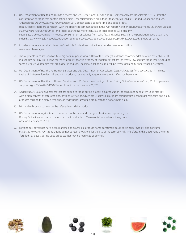- 49. U.S. Department of Health and Human Services and U.S. Department of Agriculture. *Dietary Guidelines for Americans, 2010*: Limit the consumption of foods that contain refined grains, especially refined grain foods that contain solid fats, added sugars, and sodium. Although the *Dietary Guidelines for Americans, 2010* do not state a specific limit on added or total sugars, these criteria are consistent with the specific recommendation in the IOM report *Nutrition Standards for Foods in Schools: Leading a way Toward Healthier Youth* to limit total sugars to no more than 35% of total calories. Also, Healthy People 2020 objective: NWS-17 Reduce consumption of calories from solid fats and added sugars in the population aged 2 years and older;<http://www.healthypeople.gov/2020/topicsobjectives2020/objectiveslist.aspx?topicid=29.>Accessed January 25, 2011.
- 50. In order to reduce the caloric density of available foods, these guidelines consider sweetened milks as sweetened beverages.
- 51. The vegetable juice standard of ≤230 mg sodium per serving is 10% of the Dietary Guidelines recommendation of no more than 2,300 mg sodium per day. This allows for the availability of a wide variety of vegetables that are inherently low sodium foods while excluding some prepared vegetables that are higher in sodium. The initial goal of 230 mg will be reassessed and further reduced over time.
- 52. U.S. Department of Health and Human Services and U.S. Department of Agriculture. *Dietary Guidelines for Americans, 2010*: Increase intake of fat-free or low-fat milk and milk products, such as milk, yogurt, cheese, or fortified soy beverages.
- 53. U.S. Department of Health and Human Services and U.S. Department of Agriculture. *Dietary Guidelines for Americans, 2010*. [http://www.](http://www.cnpp.usda.gov/DGAs2010-DGACReport.htm) [cnpp.usda.gov/DGAs2010-DGACReport.htm.](http://www.cnpp.usda.gov/DGAs2010-DGACReport.htm) Accessed January 26, 2011.
- 54. Added sugars: Caloric sweeteners that are added to foods during processing, preparation, or consumed separately. Solid fats: Fats with a high content of saturated and/or trans fatty acids, which are usually solid at room temperature. Refined grains: Grains and grain products missing the bran, germ, and/or endosperm; any grain product that is not a whole grain.
- 55. Milk and milk products also can be referred to as dairy products.
- 56. U.S. Department of Agriculture. Information on the type and strength of evidence supporting the Dietary Guidelines' recommendations can be found at <http://www.nutritionevidencelibrary.com>. Accessed January 25, 2011.
- 57. Fortified soy beverages have been marketed as "soymilk," a product name consumers could see in supermarkets and consumer materials. However, FDA's regulations do not contain provisions for the use of the term soymilk. Therefore, in this document, the term "fortified soy beverage" includes products that may be marketed as soymilk.